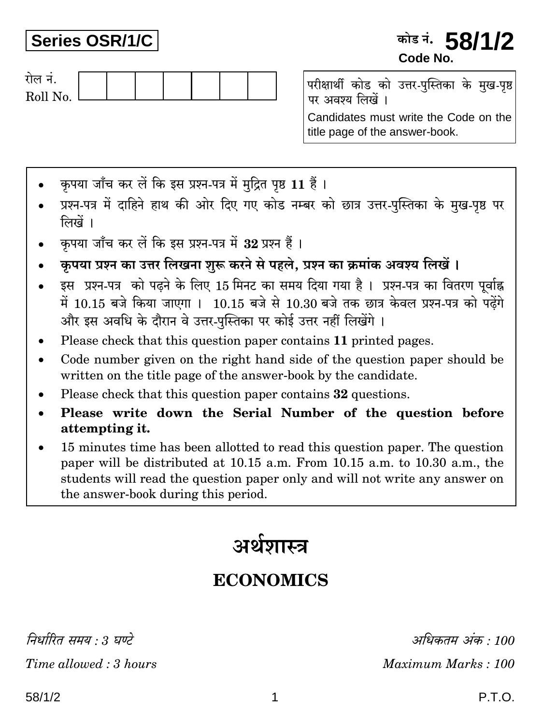Series OSR/1/C

### कोड नं. **58/1/2** Code No



परीक्षार्थी कोड को उत्तर-पुस्तिका के मुख-पृष्ठ पर अवश्य लिखें ।

Candidates must write the Code on the title page of the answer-book.

- कपया जाँच कर लें कि इस प्रश्न-पत्र में मदित पष्ठ 11 हैं।
- प्रश्न-पत्र में दाहिने हाथ की ओर दिए गए कोड नम्बर को छात्र उत्तर-पुस्तिका के मुख-पृष्ठ पर लिखें ।
- कृपया जाँच कर लें कि इस प्रश्न-पत्र में 32 प्रश्न हैं।
- कृपया प्रश्न का उत्तर लिखना शुरू करने से पहले, प्रश्न का क्रमांक अवश्य लिखें।
- इस प्रश्न-पत्र को पढ़ने के लिए 15 मिनट का समय दिया गया है। प्रश्न-पत्र का वितरण पर्वाह्न में 10.15 बजे किया जाएगा। 10.15 बजे से 10.30 बजे तक छात्र केवल प्रश्न-पत्र को पढ़ेंगे और इस अवधि के दौरान वे उत्तर-पुस्तिका पर कोई उत्तर नहीं लिखेंगे ।
- Please check that this question paper contains 11 printed pages.
- Code number given on the right hand side of the question paper should be written on the title page of the answer-book by the candidate.
- Please check that this question paper contains 32 questions.
- Please write down the Serial Number of the question before  $\bullet$ attempting it.
- 15 minutes time has been allotted to read this question paper. The question paper will be distributed at 10.15 a.m. From 10.15 a.m. to 10.30 a.m., the students will read the question paper only and will not write any answer on the answer-book during this period.

# अर्थशास्त्र

## **ECONOMICS**

निर्धारित ममय  $\cdot$  १ घण्टे

Time allowed: 3 hours

अधिकतम् अंक : 100 Maximum Marks: 100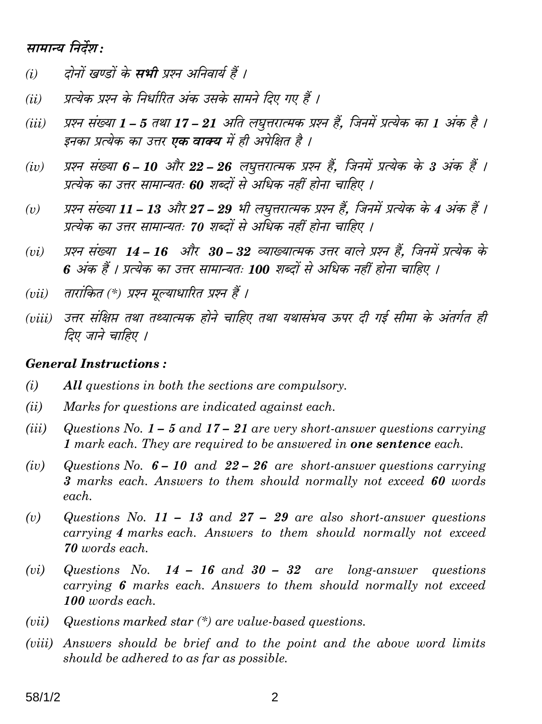#### सामान्य निर्देश:

- दोनों खण्डों के **सभी** प्रश्न अनिवार्य हैं ।  $(i)$
- प्रत्येक प्रश्न के निर्धारित अंक उसके सामने दिए गए हैं ।  $(ii)$
- प्रश्न संख्या 1 5 तथा 17 21 अति लघूत्तरात्मक प्रश्न हैं. जिनमें प्रत्येक का 1 अंक है ।  $(iii)$ इनका प्रत्येक का उत्तर **एक वाक्य** में ही अपेक्षित है ।
- प्रश्न संख्या 6 10 और 22 26 लघुत्तरात्मक प्रश्न हैं, जिनमें प्रत्येक के 3 अंक हैं ।  $(iv)$ प्रत्येक का उत्तर सामान्यतः 60 शब्दों से अधिक नहीं होना चाहिए ।
- प्रश्न संख्या 11 13 और 27 29 भी लघुत्तरात्मक प्रश्न हैं, जिनमें प्रत्येक के 4 अंक हैं ।  $(v)$ प्रत्येक का उत्तर सामान्यतः 70 शब्दों से अधिक नहीं होना चाहिए ।
- प्रश्न संख्या 14 16 और 30 32 व्याख्यात्मक उत्तर वाले प्रश्न हैं. जिनमें प्रत्येक के  $(vi)$ 6 अंक हैं । प्रत्येक का उत्तर सामान्यतः 100 शब्दों से अधिक नहीं होना चाहिए ।
- तारांकित (\*) प्रश्न मुल्याधारित प्रश्न हैं ।  $(vii)$
- (viii) उत्तर संक्षिप्त तथा तथ्यात्मक होने चाहिए तथा यथासंभव ऊपर दी गई सीमा के अंतर्गत ही तिए जाने चाहिए ।

#### **General Instructions:**

- $(i)$ All questions in both the sections are compulsory.
- $(ii)$ Marks for questions are indicated against each.
- $(iii)$ Questions No.  $1 - 5$  and  $17 - 21$  are very short-answer questions carrying 1 mark each. They are required to be answered in **one sentence** each.
- Questions No.  $6 10$  and  $22 26$  are short-answer questions carrying  $(iv)$ 3 marks each. Answers to them should normally not exceed 60 words each.
- $(v)$ Questions No. 11 – 13 and 27 – 29 are also short-answer questions carrying 4 marks each. Answers to them should normally not exceed 70 words each.
- Questions No.  $14 16$  and  $30 32$  are long-answer questions  $(vi)$ carrying 6 marks each. Answers to them should normally not exceed 100 words each.
- Questions marked star  $(*)$  are value-based questions.  $(vii)$
- (viii) Answers should be brief and to the point and the above word limits should be adhered to as far as possible.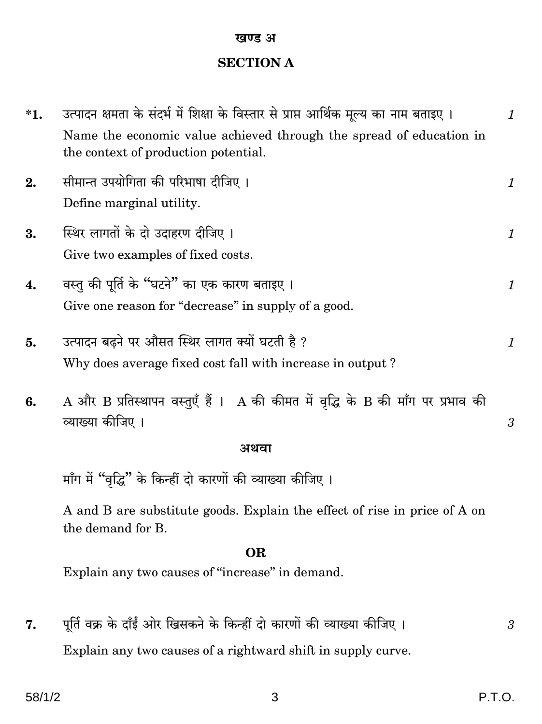#### खण्ड अ

### **SECTION A**

| $*1.$ | उत्पादन क्षमता के संदर्भ में शिक्षा के विस्तार से प्राप्त आर्थिक मूल्य का नाम बताइए ।                        | 1       |
|-------|--------------------------------------------------------------------------------------------------------------|---------|
|       | Name the economic value achieved through the spread of education in<br>the context of production potential.  |         |
| 2.    | सीमान्त उपयोगिता की परिभाषा दीजिए ।<br>Define marginal utility.                                              | 1       |
| 3.    | स्थिर लागतों के दो उदाहरण दीजिए।<br>Give two examples of fixed costs.                                        | 1       |
| 4.    | वस्तु की पूर्ति के "घटने" का एक कारण बताइए ।<br>Give one reason for "decrease" in supply of a good.          | 1       |
| 5.    | उत्पादन बढ़ने पर औसत स्थिर लागत क्यों घटती है ?<br>Why does average fixed cost fall with increase in output? | $\it 1$ |
| 6.    | $A$ और $B$ प्रतिस्थापन वस्तुएँ हैं । $A$ की कीमत में वृद्धि के $B$ की माँग पर प्रभाव की<br>व्याख्या कीजिए ।  | 3       |
|       | अथवा                                                                                                         |         |
|       | माँग में "वृद्धि" के किन्हीं दो कारणों की व्याख्या कीजिए ।                                                   |         |
|       | A and B are substitute goods. Explain the effect of rise in price of A on<br>the demand for B.               |         |
|       | <b>OR</b>                                                                                                    |         |
|       | Explain any two causes of "increase" in demand.                                                              |         |
| 7.    | पूर्ति वक्र के दाँईं ओर खिसकने के किन्हीं दो कारणों की व्याख्या कीजिए ।                                      | 3       |
|       | Explain any two causes of a rightward shift in supply curve.                                                 |         |

 $\mathfrak{S}$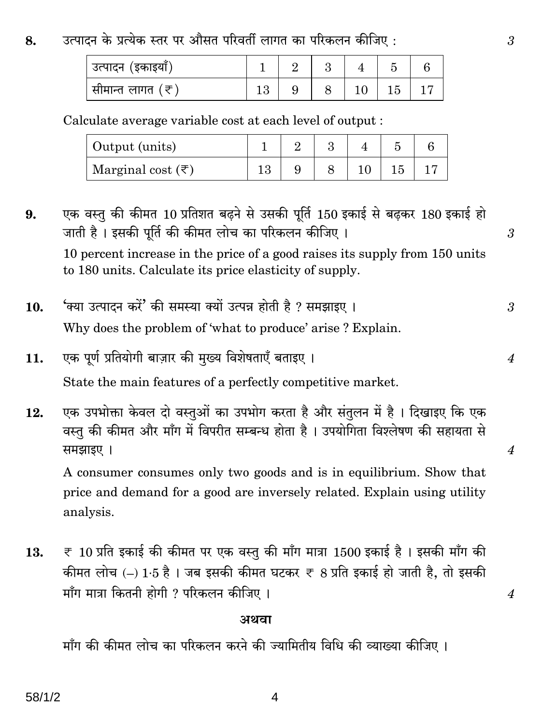#### उत्पादन के प्रत्येक स्तर पर औसत परिवर्ती लागत का परिकलन कीजिए : 8.

| उत्पादन (इकाइया)           |  |  |  |
|----------------------------|--|--|--|
| ंसीमान्त लागत ( <i>र</i> ) |  |  |  |

#### Calculate average variable cost at each level of output:

| Output (units)                    |  |  |  |
|-----------------------------------|--|--|--|
| Marginal cost $(\overline{\tau})$ |  |  |  |

एक वस्तु की कीमत 10 प्रतिशत बढ़ने से उसकी पूर्ति 150 इकाई से बढ़कर 180 इकाई हो  $9.$ जाती है। इसकी पर्ति की कीमत लोच का परिकलन कीजिए। 10 percent increase in the price of a good raises its supply from 150 units to 180 units. Calculate its price elasticity of supply.

- 'क्या उत्पादन करें' की समस्या क्यों उत्पन्न होती है ? समझाइए ।  $10.$ Why does the problem of 'what to produce' arise? Explain.
- एक पूर्ण प्रतियोगी बाज़ार की मुख्य विशेषताएँ बताइए । 11.

State the main features of a perfectly competitive market.

एक उपभोक्ता केवल दो वस्तुओं का उपभोग करता है और संतुलन में है। दिखाइए कि एक 12. वस्तु की कीमत और माँग में विपरीत सम्बन्ध होता है। उपयोगिता विश्लेषण की सहायता से समझाइए ।

A consumer consumes only two goods and is in equilibrium. Show that price and demand for a good are inversely related. Explain using utility analysis.

 $\overline{\tau}$  10 प्रति इकाई की कीमत पर एक वस्तु की माँग मात्रा 1500 इकाई है। इसकी माँग की 13. कीमत लोच (-) 1.5 है। जब इसकी कीमत घटकर ₹ 8 प्रति इकाई हो जाती है, तो इसकी माँग मात्रा कितनी होगी ? परिकलन कीजिए ।

#### अथवा

माँग की कीमत लोच का परिकलन करने की ज्यामितीय विधि की व्याख्या कीजिए ।

 $\overline{4}$ 

3

3

 $\overline{4}$ 

 $\overline{4}$ 

 $\overline{4}$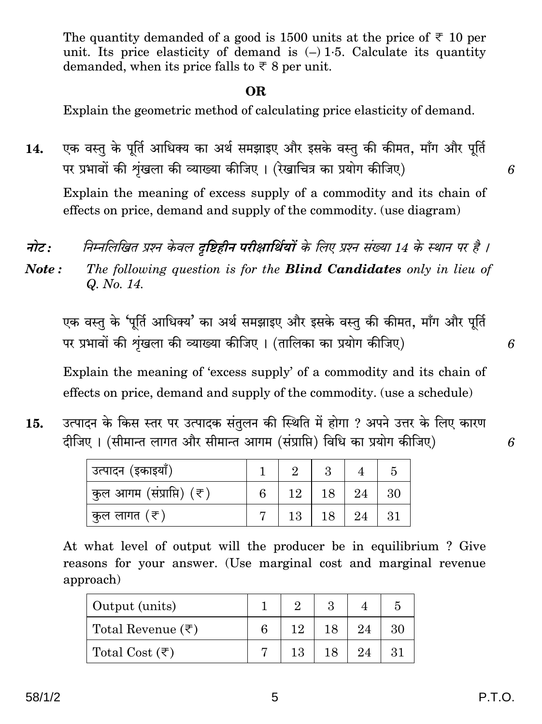The quantity demanded of a good is 1500 units at the price of  $\overline{\xi}$  10 per unit. Its price elasticity of demand is  $(-) 1.5$ . Calculate its quantity demanded, when its price falls to  $\overline{\xi}$  8 per unit.

#### OR.

Explain the geometric method of calculating price elasticity of demand.

एक वस्तु के पूर्ति आधिक्य का अर्थ समझाइए और इसके वस्तु की कीमत, माँग और पूर्ति 14. पर प्रभावों की शृंखला की व्याख्या कीजिए। (रेखाचित्र का प्रयोग कीजिए)

Explain the meaning of excess supply of a commodity and its chain of effects on price, demand and supply of the commodity. (use diagram)

एक वस्तु के 'पूर्ति आधिक्य' का अर्थ समझाइए और इसके वस्तु की कीमत, माँग और पूर्ति पर प्रभावों की शृंखला की व्याख्या कीजिए। (तालिका का प्रयोग कीजिए)

Explain the meaning of 'excess supply' of a commodity and its chain of effects on price, demand and supply of the commodity. (use a schedule)

उत्पादन के किस स्तर पर उत्पादक संतुलन की स्थिति में होगा ? अपने उत्तर के लिए कारण 15. दीजिए। (सीमान्त लागत और सीमान्त आगम (संप्राप्ति) विधि का प्रयोग कीजिए)

| <sup>।</sup> उत्पादन (इकाइयाँ)        |    |    |    |    |
|---------------------------------------|----|----|----|----|
| <sup> </sup> कुल आगम (संप्राप्ति) (₹) | 12 | 18 | 24 | 30 |
| ्कुल लागत (₹)                         | 13 |    | 24 | 31 |

At what level of output will the producer be in equilibrium? Give reasons for your answer. (Use marginal cost and marginal revenue approach)

| Output (units)                 |     |    |    |
|--------------------------------|-----|----|----|
| Total Revenue $(\bar{\tau})$   | 19. | 24 | 30 |
| Total Cost $(\overline{\tau})$ | 13  | 24 | 31 |

6

6

6

नोट $:$ निम्नलिखित प्रश्न केवल **दष्टिहीन परीक्षार्थियों** के लिए प्रश्न संख्या 14 के स्थान पर है । The following question is for the **Blind Candidates** only in lieu of Note: Q. No. 14.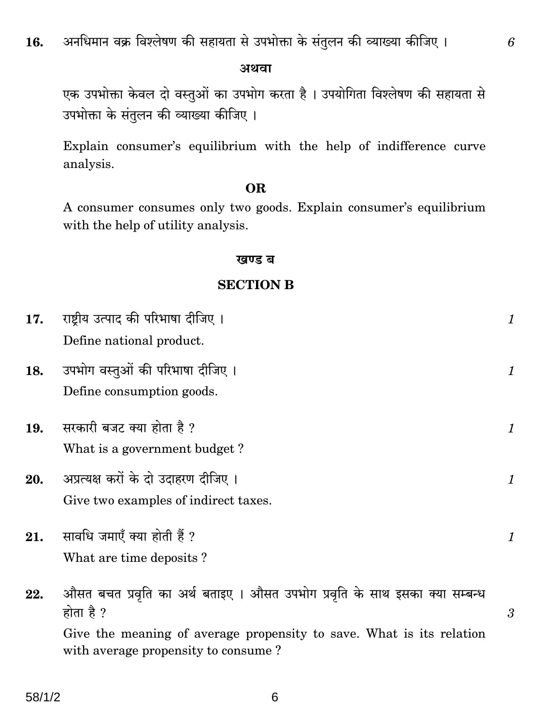अथवा

एक उपभोक्ता केवल दो वस्तुओं का उपभोग करता है। उपयोगिता विश्लेषण की सहायता से उपभोक्ता के संतुलन की व्याख्या कीजिए।

Explain consumer's equilibrium with the help of indifference curve analysis.

#### **OR**

A consumer consumes only two goods. Explain consumer's equilibrium with the help of utility analysis.

#### खण्ड ब

#### **SECTION B**

| 17. | राष्ट्रीय उत्पाद की परिभाषा दीजिए ।<br>Define national product.                                                                                                                                        | 1 |
|-----|--------------------------------------------------------------------------------------------------------------------------------------------------------------------------------------------------------|---|
| 18. | उपभोग वस्तुओं की परिभाषा दीजिए ।<br>Define consumption goods.                                                                                                                                          | 1 |
| 19. | सरकारी बजट क्या होता है ?<br>What is a government budget?                                                                                                                                              | 1 |
| 20. | अप्रत्यक्ष करों के दो उदाहरण दीजिए ।<br>Give two examples of indirect taxes.                                                                                                                           | 1 |
| 21. | सावधि जमाएँ क्या होती हैं ?<br>What are time deposits?                                                                                                                                                 | 1 |
| 22. | औसत बचत प्रवृति का अर्थ बताइए । औसत उपभोग प्रवृति के साथ इसका क्या सम्बन्ध<br>होता है ?<br>Give the meaning of average propensity to save. What is its relation<br>with average propensity to consume? | 3 |

6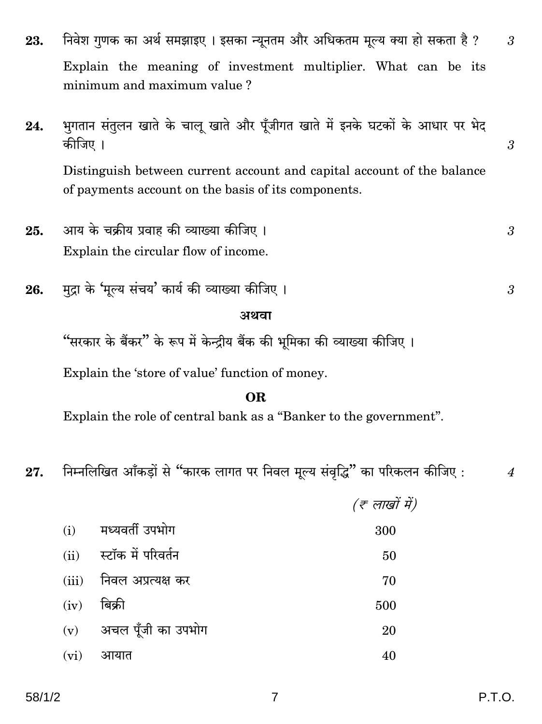- निवेश गुणक का अर्थ समझाइए। इसका न्यूनतम और अधिकतम मूल्य क्या हो सकता है ? 23. Explain the meaning of investment multiplier. What can be its minimum and maximum value?
- भगतान संतुलन खाते के चालु खाते और पूँजीगत खाते में इनके घटकों के आधार पर भेद 24. कीजिए । Distinguish between current account and capital account of the balance

of payments account on the basis of its components.

- आय के चक्रीय प्रवाह की व्याख्या कीजिए । 25. Explain the circular flow of income.
- मुद्रा के 'मुल्य संचय' कार्य की व्याख्या कीजिए। 26.

#### अथवा

"सरकार के बैंकर" के रूप में केन्द्रीय बैंक की भूमिका की व्याख्या कीजिए ।

Explain the 'store of value' function of money.

#### **OR**

Explain the role of central bank as a "Banker to the government".

निम्नलिखित आँकड़ों से "कारक लागत पर निवल मूल्य संवृद्धि" का परिकलन कीजिए: 27.

|      |                              | (ह लाखों में) |
|------|------------------------------|---------------|
|      | (i) मध्यवर्ती उपभोग          | 300           |
| (ii) | स्टॉक में परिवर्तन           | 50            |
|      | (iii)     निवल अप्रत्यक्ष कर | 70            |
| (iv) | बिक्री                       | 500           |
|      | (v) अचल पूँजी का उपभोग       | 20            |
| (vi) | आयात                         | 40            |

3

3

 $\overline{4}$ 

3

 $\mathcal{S}$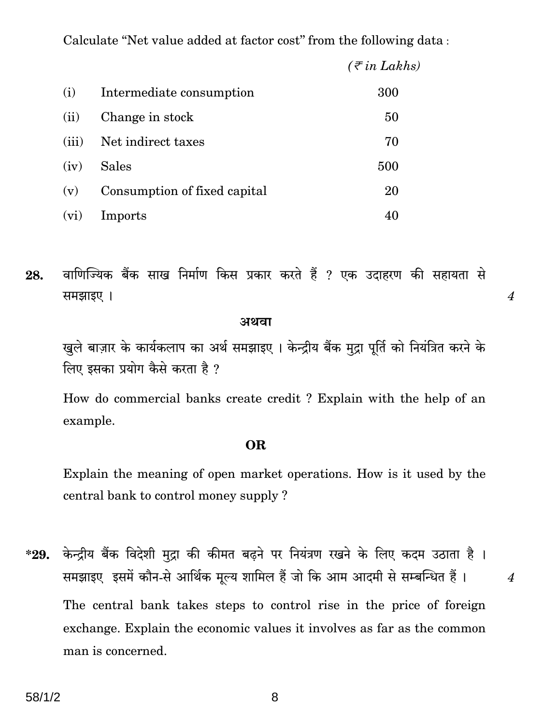Calculate "Net value added at factor cost" from the following data:

|       |                              | $(\bar{\tau}$ in Lakhs) |
|-------|------------------------------|-------------------------|
| (i)   | Intermediate consumption     | 300                     |
| (ii)  | Change in stock              | 50                      |
| (iii) | Net indirect taxes           | 70                      |
| (iv)  | <b>Sales</b>                 | 500                     |
| (v)   | Consumption of fixed capital | 20                      |
| (vi)  | Imports                      | 40                      |

वाणिज्यिक बैंक साख निर्माण किस प्रकार करते हैं ? एक उदाहरण की सहायता से 28. समझाइए ।

#### अथवा

खुले बाज़ार के कार्यकलाप का अर्थ समझाइए। केन्द्रीय बैंक मुद्रा पूर्ति को नियंत्रित करने के लिए इसका प्रयोग कैसे करता है ?

 $\boldsymbol{4}$ 

 $\overline{4}$ 

How do commercial banks create credit ? Explain with the help of an example.

#### **OR**

Explain the meaning of open market operations. How is it used by the central bank to control money supply ?

केन्द्रीय बैंक विदेशी मुद्रा की कीमत बढ़ने पर नियंत्रण रखने के लिए कदम उठाता है।  $*29.$ समझाइए इसमें कौन-से आर्थिक मूल्य शामिल हैं जो कि आम आदमी से सम्बन्धित हैं। The central bank takes steps to control rise in the price of foreign exchange. Explain the economic values it involves as far as the common man is concerned.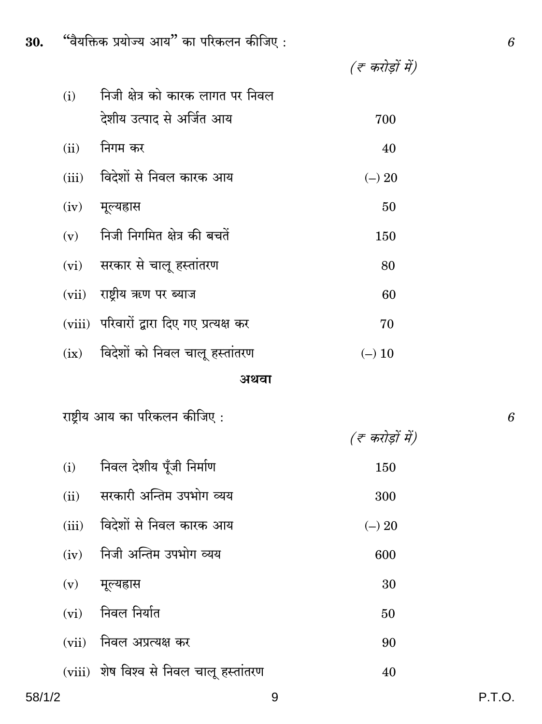| ۰.<br>٠<br>٦ | ٦<br>×      | ۰. |  |
|--------------|-------------|----|--|
| ٠<br>. .     |             |    |  |
|              | I<br>I<br>I | I  |  |

| (i)   | निजी क्षेत्र को कारक लागत पर निवल          |          |
|-------|--------------------------------------------|----------|
|       | देशीय उत्पाद से अर्जित आय                  | 700      |
| (ii)  | निगम कर                                    | 40       |
| (iii) | विदेशों से निवल कारक आय                    | $(-) 20$ |
| (iv)  | मूल्यहास                                   | 50       |
|       | $(v)$ निजी निगमित क्षेत्र की बचतें         | 150      |
|       | (vi) सरकार से चालू हस्तांतरण               | 80       |
|       | (vii) राष्ट्रीय ऋण पर ब्याज                | 60       |
|       | (viii) परिवारों द्वारा दिए गए प्रत्यक्ष कर | 70       |
|       | $(ix)$ विदेशों को निवल चालू हस्तांतरण      | $(-)$ 10 |

#### अथवा

राष्ट्रीय आय का परिकलन कीजिए :

 $\boldsymbol{6}$ 

|       |                                         | (ह करोड़ों में) |
|-------|-----------------------------------------|-----------------|
| (i)   | निवल देशीय पूँजी निर्माण                | 150             |
| (ii)  | सरकारी अन्तिम उपभोग व्यय                | 300             |
| (iii) | विदेशों से निवल कारक आय                 | $(-) 20$        |
| (iv)  | निजी अन्तिम उपभोग व्यय                  | 600             |
| (v)   | मूल्यहास                                | 30              |
| (vi)  | निवल निर्यात                            | 50              |
|       | (vii) निवल अप्रत्यक्ष कर                | 90              |
|       | (viii) शेष विश्व से निवल चालू हस्तांतरण | 40              |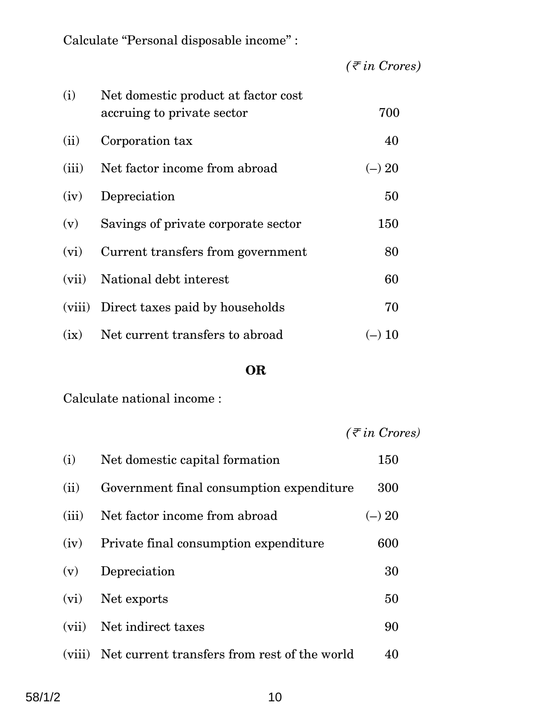Calculate "Personal disposable income" :

*(*<sup>&</sup>lt; *in Crores)*

| (i)   | Net domestic product at factor cost<br>accruing to private sector | 700      |
|-------|-------------------------------------------------------------------|----------|
| (ii)  | Corporation tax                                                   | 40       |
| (iii) | Net factor income from abroad                                     | $(-) 20$ |
| (iv)  | Depreciation                                                      | 50       |
| (v)   | Savings of private corporate sector                               | 150      |
| (vi)  | Current transfers from government                                 | 80       |
| (vii) | National debt interest                                            | 60       |
|       | (viii) Direct taxes paid by households                            | 70       |
| (ix)  | Net current transfers to abroad                                   | $(-) 10$ |

#### **OR**

Calculate national income :

|  | $(\bar{\tau}$ in Crores) |
|--|--------------------------|
|  |                          |

| (i)     | Net domestic capital formation               | 150      |
|---------|----------------------------------------------|----------|
| (ii)    | Government final consumption expenditure     | 300      |
| (iii)   | Net factor income from abroad                | $(-) 20$ |
| (iv)    | Private final consumption expenditure        | 600      |
| (v)     | Depreciation                                 | 30       |
| $(v_i)$ | Net exports                                  | 50       |
| (vii)   | Net indirect taxes                           | 90       |
| (viii)  | Net current transfers from rest of the world | 40       |